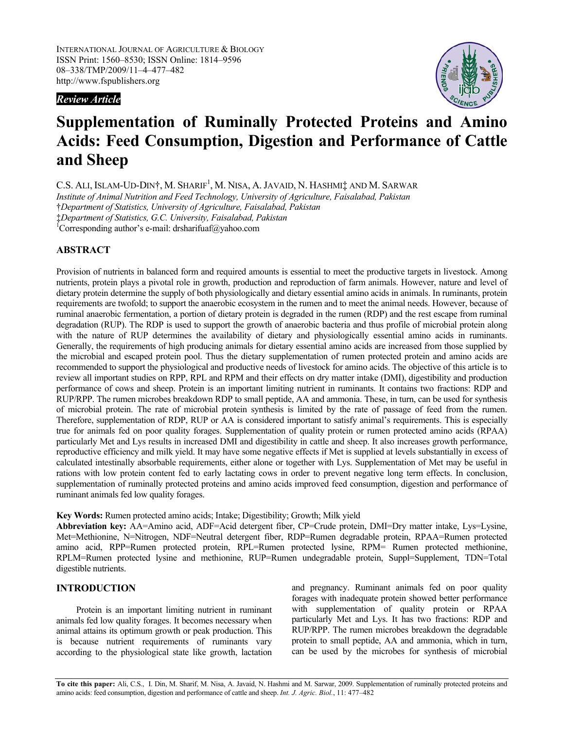*Review Article* 



# **Supplementation of Ruminally Protected Proteins and Amino Acids: Feed Consumption, Digestion and Performance of Cattle and Sheep**

C.S. ALI, ISLAM-UD-DIN†, M. SHARIF<sup>1</sup>, M. NISA, A. JAVAID, N. HASHMI‡ AND M. SARWAR

*Institute of Animal Nutrition and Feed Technology, University of Agriculture, Faisalabad, Pakistan*  †*Department of Statistics, University of Agriculture, Faisalabad, Pakistan* 

‡*Department of Statistics, G.C. University, Faisalabad, Pakistan* 

1 Corresponding author's e-mail: drsharifuaf@yahoo.com

## **ABSTRACT**

Provision of nutrients in balanced form and required amounts is essential to meet the productive targets in livestock. Among nutrients, protein plays a pivotal role in growth, production and reproduction of farm animals. However, nature and level of dietary protein determine the supply of both physiologically and dietary essential amino acids in animals. In ruminants, protein requirements are twofold; to support the anaerobic ecosystem in the rumen and to meet the animal needs. However, because of ruminal anaerobic fermentation, a portion of dietary protein is degraded in the rumen (RDP) and the rest escape from ruminal degradation (RUP). The RDP is used to support the growth of anaerobic bacteria and thus profile of microbial protein along with the nature of RUP determines the availability of dietary and physiologically essential amino acids in ruminants. Generally, the requirements of high producing animals for dietary essential amino acids are increased from those supplied by the microbial and escaped protein pool. Thus the dietary supplementation of rumen protected protein and amino acids are recommended to support the physiological and productive needs of livestock for amino acids. The objective of this article is to review all important studies on RPP, RPL and RPM and their effects on dry matter intake (DMI), digestibility and production performance of cows and sheep. Protein is an important limiting nutrient in ruminants. It contains two fractions: RDP and RUP/RPP. The rumen microbes breakdown RDP to small peptide, AA and ammonia. These, in turn, can be used for synthesis of microbial protein. The rate of microbial protein synthesis is limited by the rate of passage of feed from the rumen. Therefore, supplementation of RDP, RUP or AA is considered important to satisfy animal's requirements. This is especially true for animals fed on poor quality forages. Supplementation of quality protein or rumen protected amino acids (RPAA) particularly Met and Lys results in increased DMI and digestibility in cattle and sheep. It also increases growth performance, reproductive efficiency and milk yield. It may have some negative effects if Met is supplied at levels substantially in excess of calculated intestinally absorbable requirements, either alone or together with Lys. Supplementation of Met may be useful in rations with low protein content fed to early lactating cows in order to prevent negative long term effects. In conclusion, supplementation of ruminally protected proteins and amino acids improved feed consumption, digestion and performance of ruminant animals fed low quality forages.

**Key Words:** Rumen protected amino acids; Intake; Digestibility; Growth; Milk yield

**Abbreviation key:** AA=Amino acid, ADF=Acid detergent fiber, CP=Crude protein, DMI=Dry matter intake, Lys=Lysine, Met=Methionine, N=Nitrogen, NDF=Neutral detergent fiber, RDP=Rumen degradable protein, RPAA=Rumen protected amino acid, RPP=Rumen protected protein, RPL=Rumen protected lysine, RPM= Rumen protected methionine, RPLM=Rumen protected lysine and methionine, RUP=Rumen undegradable protein, Suppl=Supplement, TDN=Total digestible nutrients.

## **INTRODUCTION**

Protein is an important limiting nutrient in ruminant animals fed low quality forages. It becomes necessary when animal attains its optimum growth or peak production. This is because nutrient requirements of ruminants vary according to the physiological state like growth, lactation and pregnancy. Ruminant animals fed on poor quality forages with inadequate protein showed better performance with supplementation of quality protein or RPAA particularly Met and Lys. It has two fractions: RDP and RUP/RPP. The rumen microbes breakdown the degradable protein to small peptide, AA and ammonia, which in turn, can be used by the microbes for synthesis of microbial

**To cite this paper:** Ali, C.S., I. Din, M. Sharif, M. Nisa, A. Javaid, N. Hashmi and M. Sarwar, 2009. Supplementation of ruminally protected proteins and amino acids: feed consumption, digestion and performance of cattle and sheep. *Int. J. Agric. Biol.*, 11: 477–482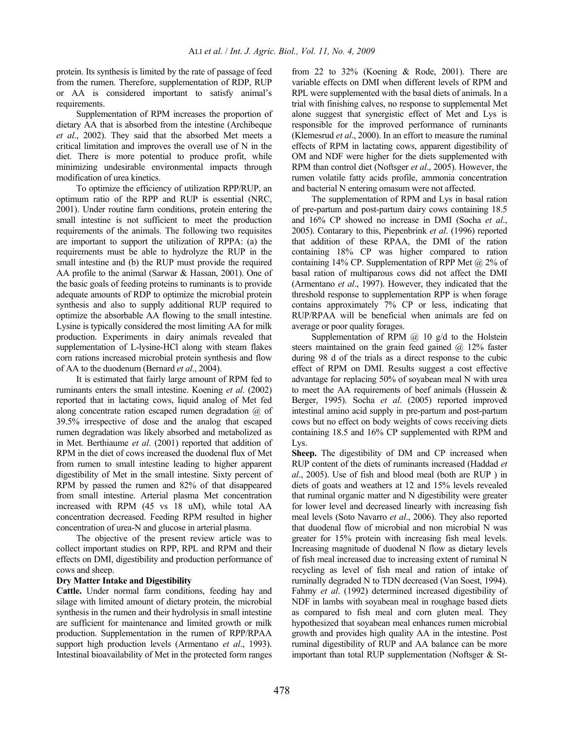protein. Its synthesis is limited by the rate of passage of feed from the rumen. Therefore, supplementation of RDP, RUP or AA is considered important to satisfy animal's requirements.

 Supplementation of RPM increases the proportion of dietary AA that is absorbed from the intestine (Archibeque *et al*., 2002). They said that the absorbed Met meets a critical limitation and improves the overall use of N in the diet. There is more potential to produce profit, while minimizing undesirable environmental impacts through modification of urea kinetics.

 To optimize the efficiency of utilization RPP/RUP, an optimum ratio of the RPP and RUP is essential (NRC, 2001). Under routine farm conditions, protein entering the small intestine is not sufficient to meet the production requirements of the animals. The following two requisites are important to support the utilization of RPPA: (a) the requirements must be able to hydrolyze the RUP in the small intestine and (b) the RUP must provide the required AA profile to the animal (Sarwar & Hassan, 2001). One of the basic goals of feeding proteins to ruminants is to provide adequate amounts of RDP to optimize the microbial protein synthesis and also to supply additional RUP required to optimize the absorbable AA flowing to the small intestine. Lysine is typically considered the most limiting AA for milk production. Experiments in dairy animals revealed that supplementation of L-lysine-HCl along with steam flakes corn rations increased microbial protein synthesis and flow of AA to the duodenum (Bernard *et al*., 2004).

 It is estimated that fairly large amount of RPM fed to ruminants enters the small intestine. Koening *et al*. (2002) reported that in lactating cows, liquid analog of Met fed along concentrate ration escaped rumen degradation @ of 39.5% irrespective of dose and the analog that escaped rumen degradation was likely absorbed and metabolized as in Met. Berthiaume *et al*. (2001) reported that addition of RPM in the diet of cows increased the duodenal flux of Met from rumen to small intestine leading to higher apparent digestibility of Met in the small intestine. Sixty percent of RPM by passed the rumen and 82% of that disappeared from small intestine. Arterial plasma Met concentration increased with RPM (45 vs 18 uM), while total AA concentration decreased. Feeding RPM resulted in higher concentration of urea-N and glucose in arterial plasma.

 The objective of the present review article was to collect important studies on RPP, RPL and RPM and their effects on DMI, digestibility and production performance of cows and sheep.

#### **Dry Matter Intake and Digestibility**

**Cattle.** Under normal farm conditions, feeding hay and silage with limited amount of dietary protein, the microbial synthesis in the rumen and their hydrolysis in small intestine are sufficient for maintenance and limited growth or milk production. Supplementation in the rumen of RPP/RPAA support high production levels (Armentano *et al*., 1993). Intestinal bioavailability of Met in the protected form ranges

from 22 to 32% (Koening & Rode, 2001). There are variable effects on DMI when different levels of RPM and RPL were supplemented with the basal diets of animals. In a trial with finishing calves, no response to supplemental Met alone suggest that synergistic effect of Met and Lys is responsible for the improved performance of ruminants (Klemesrud *et al*., 2000). In an effort to measure the ruminal effects of RPM in lactating cows, apparent digestibility of OM and NDF were higher for the diets supplemented with RPM than control diet (Noftsger *et al*., 2005). However, the rumen volatile fatty acids profile, ammonia concentration and bacterial N entering omasum were not affected.

 The supplementation of RPM and Lys in basal ration of pre-partum and post-partum dairy cows containing 18.5 and 16% CP showed no increase in DMI (Socha *et al*., 2005). Contarary to this, Piepenbrink *et al*. (1996) reported that addition of these RPAA, the DMI of the ration containing 18% CP was higher compared to ration containing 14% CP. Supplementation of RPP Met  $\omega$  2% of basal ration of multiparous cows did not affect the DMI (Armentano *et al*., 1997). However, they indicated that the threshold response to supplementation RPP is when forage contains approximately 7% CP or less, indicating that RUP/RPAA will be beneficial when animals are fed on average or poor quality forages.

Supplementation of RPM  $\omega$  10 g/d to the Holstein steers maintained on the grain feed gained  $(a)$  12% faster during 98 d of the trials as a direct response to the cubic effect of RPM on DMI. Results suggest a cost effective advantage for replacing 50% of soyabean meal N with urea to meet the AA requirements of beef animals (Hussein & Berger, 1995). Socha *et al*. (2005) reported improved intestinal amino acid supply in pre-partum and post-partum cows but no effect on body weights of cows receiving diets containing 18.5 and 16% CP supplemented with RPM and Lys.

**Sheep.** The digestibility of DM and CP increased when RUP content of the diets of ruminants increased (Haddad *et al*., 2005). Use of fish and blood meal (both are RUP ) in diets of goats and weathers at 12 and 15% levels revealed that ruminal organic matter and N digestibility were greater for lower level and decreased linearly with increasing fish meal levels (Soto Navarro *et al*., 2006). They also reported that duodenal flow of microbial and non microbial N was greater for 15% protein with increasing fish meal levels. Increasing magnitude of duodenal N flow as dietary levels of fish meal increased due to increasing extent of ruminal N recycling as level of fish meal and ration of intake of ruminally degraded N to TDN decreased (Van Soest, 1994). Fahmy *et al*. (1992) determined increased digestibility of NDF in lambs with soyabean meal in roughage based diets as compared to fish meal and corn gluten meal. They hypothesized that soyabean meal enhances rumen microbial growth and provides high quality AA in the intestine. Post ruminal digestibility of RUP and AA balance can be more important than total RUP supplementation (Noftsger & St-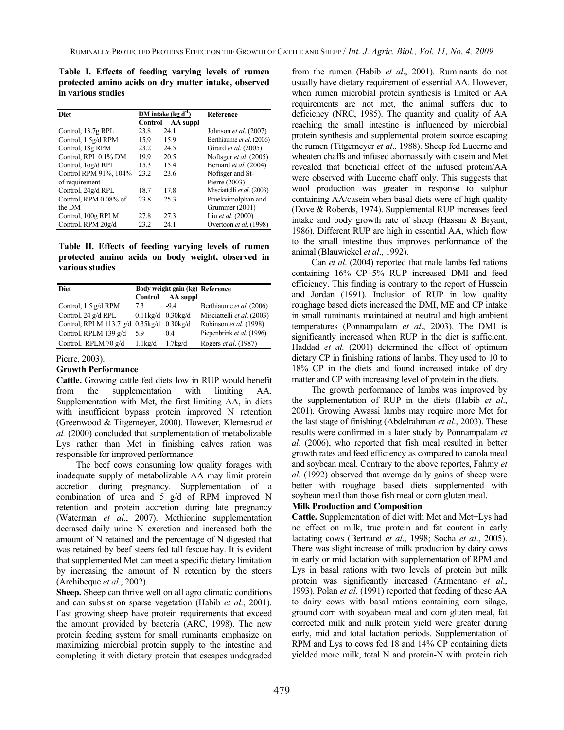**Table I. Effects of feeding varying levels of rumen protected amino acids on dry matter intake, observed in various studies** 

| <b>Diet</b>           |                | DM intake $(kg d^{-1})$ | <b>Reference</b>            |
|-----------------------|----------------|-------------------------|-----------------------------|
|                       | <b>Control</b> | AA suppl                |                             |
| Control, 13.7g RPL    | 23.8           | 24.1                    | Johnson et al. (2007)       |
| Control, 1.5g/d RPM   | 15.9           | 15.9                    | Berthiaume et al. (2006)    |
| Control, 18g RPM      | 23.2           | 24.5                    | Girard <i>et al.</i> (2005) |
| Control, RPL 0.1% DM  | 19.9           | 20.5                    | Noftsger et al. (2005)      |
| Control, 1og/d RPL    | 15.3           | 15.4                    | Bernard et al. (2004)       |
| Control RPM 91%, 104% | 23.2           | 23.6                    | Noftsger and St-            |
| of requirement        |                |                         | Pierre (2003)               |
| Control, 24g/d RPL    | 18.7           | 17.8                    | Misciattelli et al. (2003)  |
| Control, RPM 0.08% of | 23.8           | 25.3                    | Pruekvimolphan and          |
| the DM                |                |                         | Grummer (2001)              |
| Control, 100g RPLM    | 27.8           | 27.3                    | Liu et al. (2000)           |
| Control, RPM 20g/d    | 23.2           | 24.1                    | Overtoon et al. (1998)      |

**Table II. Effects of feeding varying levels of rumen protected amino acids on body weight, observed in various studies** 

| <b>Diet</b>                               |                         | Body weight gain (kg) Reference |                            |
|-------------------------------------------|-------------------------|---------------------------------|----------------------------|
|                                           | <b>Control</b>          | AA suppl                        |                            |
| Control, 1.5 g/d RPM                      | 73                      | $-9.4$                          | Berthiaume et al. (2006)   |
| Control, 24 g/d RPL                       | $0.11$ kg/d $0.30$ kg/d |                                 | Misciattelli et al. (2003) |
| Control, RPLM 113.7 g/d 0.35kg/d 0.30kg/d |                         |                                 | Robinson et al. (1998)     |
| Control, RPLM 139 g/d                     | 59                      | 04                              | Piepenbrink et al. (1996)  |
| Control, RPLM 70 g/d                      | $1.1$ kg/d              | 1.7kg/d                         | Rogers et al. (1987)       |

Pierre, 2003).

### **Growth Performance**

**Cattle.** Growing cattle fed diets low in RUP would benefit from the supplementation with limiting AA. Supplementation with Met, the first limiting AA, in diets with insufficient bypass protein improved N retention (Greenwood & Titgemeyer, 2000). However, Klemesrud *et al.* (2000) concluded that supplementation of metabolizable Lys rather than Met in finishing calves ration was responsible for improved performance.

 The beef cows consuming low quality forages with inadequate supply of metabolizable AA may limit protein accretion during pregnancy. Supplementation of a combination of urea and 5 g/d of RPM improved N retention and protein accretion during late pregnancy (Waterman *et al*., 2007). Methionine supplementation decrased daily urine N excretion and increased both the amount of N retained and the percentage of N digested that was retained by beef steers fed tall fescue hay. It is evident that supplemented Met can meet a specific dietary limitation by increasing the amount of N retention by the steers (Archibeque *et al*., 2002).

**Sheep.** Sheep can thrive well on all agro climatic conditions and can subsist on sparse vegetation (Habib *et al*., 2001). Fast growing sheep have protein requirements that exceed the amount provided by bacteria (ARC, 1998). The new protein feeding system for small ruminants emphasize on maximizing microbial protein supply to the intestine and completing it with dietary protein that escapes undegraded

from the rumen (Habib *et al*., 2001). Ruminants do not usually have dietary requirement of essential AA. However, when rumen microbial protein synthesis is limited or AA requirements are not met, the animal suffers due to deficiency (NRC, 1985). The quantity and quality of AA reaching the small intestine is influenced by microbial protein synthesis and supplemental protein source escaping the rumen (Titgemeyer *et al*., 1988). Sheep fed Lucerne and wheaten chaffs and infused abomassaly with casein and Met revealed that beneficial effect of the infused protein/AA were observed with Lucerne chaff only. This suggests that wool production was greater in response to sulphur containing AA/casein when basal diets were of high quality (Dove & Roberds, 1974). Supplemental RUP increases feed intake and body growth rate of sheep (Hassan & Bryant, 1986). Different RUP are high in essential AA, which flow to the small intestine thus improves performance of the animal (Blauwiekel *et al*., 1992).

 Can *et al*. (2004) reported that male lambs fed rations containing 16% CP+5% RUP increased DMI and feed efficiency. This finding is contrary to the report of Hussein and Jordan (1991). Inclusion of RUP in low quality roughage based diets increased the DMI, ME and CP intake in small ruminants maintained at neutral and high ambient temperatures (Ponnampalam *et al*., 2003). The DMI is significantly increased when RUP in the diet is sufficient. Haddad *et al.* (2001) determined the effect of optimum dietary CP in finishing rations of lambs. They used to 10 to 18% CP in the diets and found increased intake of dry matter and CP with increasing level of protein in the diets.

 The growth performance of lambs was improved by the supplementation of RUP in the diets (Habib *et al*., 2001). Growing Awassi lambs may require more Met for the last stage of finishing (Abdelrahman *et al*., 2003). These results were confirmed in a later study by Ponnampalam *et al*. (2006), who reported that fish meal resulted in better growth rates and feed efficiency as compared to canola meal and soybean meal. Contrary to the above reportes, Fahmy *et al*. (1992) observed that average daily gains of sheep were better with roughage based diets supplemented with soybean meal than those fish meal or corn gluten meal.

## **Milk Production and Composition**

**Cattle.** Supplementation of diet with Met and Met+Lys had no effect on milk, true protein and fat content in early lactating cows (Bertrand *et al*., 1998; Socha *et al*., 2005). There was slight increase of milk production by dairy cows in early or mid lactation with supplementation of RPM and Lys in basal rations with two levels of protein but milk protein was significantly increased (Armentano *et al*., 1993). Polan *et al*. (1991) reported that feeding of these AA to dairy cows with basal rations containing corn silage, ground corn with soyabean meal and corn gluten meal, fat corrected milk and milk protein yield were greater during early, mid and total lactation periods. Supplementation of RPM and Lys to cows fed 18 and 14% CP containing diets yielded more milk, total N and protein-N with protein rich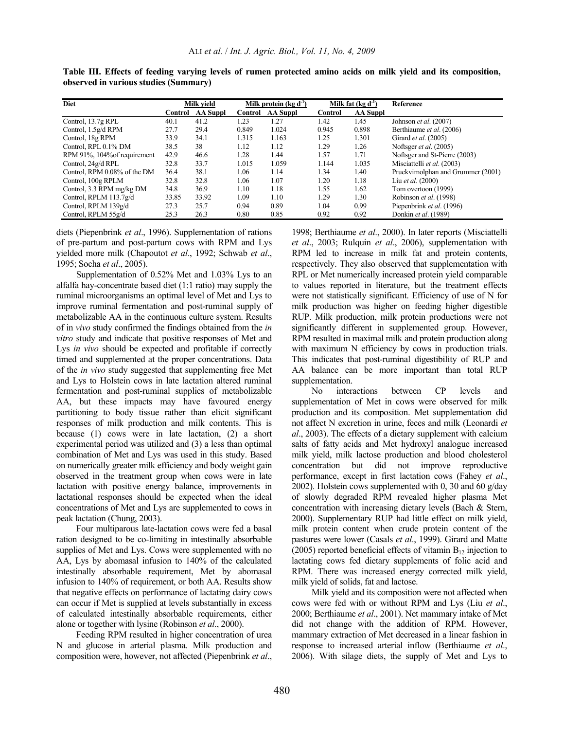| <b>Diet</b>                  |         | Milk vield      |         | Milk protein $(\text{kg } d^{-1})$ |         | Milk fat $(kg d-1)$ | Reference                         |
|------------------------------|---------|-----------------|---------|------------------------------------|---------|---------------------|-----------------------------------|
|                              | Control | <b>AA Suppl</b> | Control | <b>AA Suppl</b>                    | Control | <b>AA Suppl</b>     |                                   |
| Control, 13.7g RPL           | 40.1    | 41.2            | 1.23    | 1.27                               | 1.42    | 1.45                | Johnson et al. (2007)             |
| Control, 1.5g/d RPM          | 27.7    | 29.4            | 0.849   | 1.024                              | 0.945   | 0.898               | Berthiaume et al. (2006)          |
| Control, 18g RPM             | 33.9    | 34.1            | 1.315   | 1.163                              | 1.25    | 1.301               | Girard <i>et al.</i> (2005)       |
| Control, RPL 0.1% DM         | 38.5    | 38              | 1.12    | 1.12                               | 1.29    | 1.26                | Noftsger <i>et al.</i> (2005)     |
| RPM 91%, 104% of requirement | 42.9    | 46.6            | 1.28    | 1.44                               | 1.57    | 1.71                | Noftsger and St-Pierre (2003)     |
| Control, 24g/d RPL           | 32.8    | 33.7            | 1.015   | 1.059                              | 1.144   | 1.035               | Misciattelli et al. (2003)        |
| Control, RPM 0.08% of the DM | 36.4    | 38.1            | 1.06    | 1.14                               | 1.34    | 1.40                | Pruekvimolphan and Grummer (2001) |
| Control, 100g RPLM           | 32.8    | 32.8            | 1.06    | 1.07                               | 1.20    | 1.18                | Liu <i>et al.</i> (2000)          |
| Control, 3.3 RPM mg/kg DM    | 34.8    | 36.9            | 1.10    | 1.18                               | 1.55    | 1.62                | Tom overtoon (1999)               |
| Control, RPLM $113.7g/d$     | 33.85   | 33.92           | 1.09    | 1.10                               | 1.29    | 1.30                | Robinson et al. (1998)            |
| Control, RPLM 139g/d         | 27.3    | 25.7            | 0.94    | 0.89                               | 1.04    | 0.99                | Piepenbrink et al. (1996)         |
| Control, RPLM 55g/d          | 25.3    | 26.3            | 0.80    | 0.85                               | 0.92    | 0.92                | Donkin et al. (1989)              |

**Table III. Effects of feeding varying levels of rumen protected amino acids on milk yield and its composition, observed in various studies (Summary)** 

diets (Piepenbrink *et al*., 1996). Supplementation of rations of pre-partum and post-partum cows with RPM and Lys yielded more milk (Chapoutot *et al*., 1992; Schwab *et al*., 1995; Socha *et al*., 2005).

 Supplementation of 0.52% Met and 1.03% Lys to an alfalfa hay-concentrate based diet (1:1 ratio) may supply the ruminal microorganisms an optimal level of Met and Lys to improve ruminal fermentation and post-ruminal supply of metabolizable AA in the continuous culture system. Results of in *vivo* study confirmed the findings obtained from the *in vitro* study and indicate that positive responses of Met and Lys *in vivo* should be expected and profitable if correctly timed and supplemented at the proper concentrations. Data of the *in vivo* study suggested that supplementing free Met and Lys to Holstein cows in late lactation altered ruminal fermentation and post-ruminal supplies of metabolizable AA, but these impacts may have favoured energy partitioning to body tissue rather than elicit significant responses of milk production and milk contents. This is because (1) cows were in late lactation, (2) a short experimental period was utilized and (3) a less than optimal combination of Met and Lys was used in this study. Based on numerically greater milk efficiency and body weight gain observed in the treatment group when cows were in late lactation with positive energy balance, improvements in lactational responses should be expected when the ideal concentrations of Met and Lys are supplemented to cows in peak lactation (Chung, 2003).

 Four multiparous late-lactation cows were fed a basal ration designed to be co-limiting in intestinally absorbable supplies of Met and Lys. Cows were supplemented with no AA, Lys by abomasal infusion to 140% of the calculated intestinally absorbable requirement, Met by abomasal infusion to 140% of requirement, or both AA. Results show that negative effects on performance of lactating dairy cows can occur if Met is supplied at levels substantially in excess of calculated intestinally absorbable requirements, either alone or together with lysine (Robinson *et al*., 2000).

 Feeding RPM resulted in higher concentration of urea N and glucose in arterial plasma. Milk production and composition were, however, not affected (Piepenbrink *et al*.,

1998; Berthiaume *et al*., 2000). In later reports (Misciattelli *et al*., 2003; Rulquin *et al*., 2006), supplementation with RPM led to increase in milk fat and protein contents, respectively. They also observed that supplementation with RPL or Met numerically increased protein yield comparable to values reported in literature, but the treatment effects were not statistically significant. Efficiency of use of N for milk production was higher on feeding higher digestible RUP. Milk production, milk protein productions were not significantly different in supplemented group. However, RPM resulted in maximal milk and protein production along with maximum N efficiency by cows in production trials. This indicates that post-ruminal digestibility of RUP and AA balance can be more important than total RUP supplementation.

 No interactions between CP levels and supplementation of Met in cows were observed for milk production and its composition. Met supplementation did not affect N excretion in urine, feces and milk (Leonardi *et al*., 2003). The effects of a dietary supplement with calcium salts of fatty acids and Met hydroxyl analogue increased milk yield, milk lactose production and blood cholesterol concentration but did not improve reproductive performance, except in first lactation cows (Fahey *et al*., 2002). Holstein cows supplemented with 0, 30 and 60 g/day of slowly degraded RPM revealed higher plasma Met concentration with increasing dietary levels (Bach & Stern, 2000). Supplementary RUP had little effect on milk yield, milk protein content when crude protein content of the pastures were lower (Casals *et al*., 1999). Girard and Matte (2005) reported beneficial effects of vitamin  $B_{12}$  injection to lactating cows fed dietary supplements of folic acid and RPM. There was increased energy corrected milk yield, milk yield of solids, fat and lactose.

 Milk yield and its composition were not affected when cows were fed with or without RPM and Lys (Liu *et al*., 2000; Berthiaume *et al*., 2001). Net mammary intake of Met did not change with the addition of RPM. However, mammary extraction of Met decreased in a linear fashion in response to increased arterial inflow (Berthiaume *et al*., 2006). With silage diets, the supply of Met and Lys to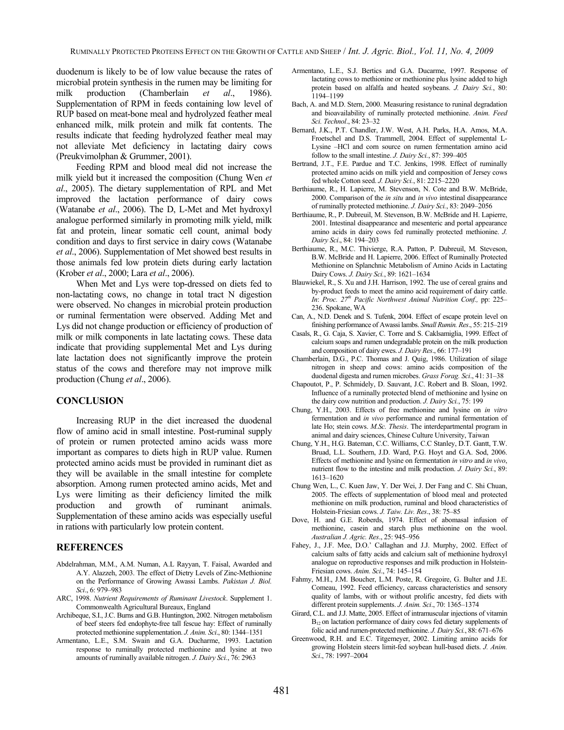duodenum is likely to be of low value because the rates of microbial protein synthesis in the rumen may be limiting for milk production (Chamberlain *et al*., 1986). Supplementation of RPM in feeds containing low level of RUP based on meat-bone meal and hydrolyzed feather meal enhanced milk, milk protein and milk fat contents. The results indicate that feeding hydrolyzed feather meal may not alleviate Met deficiency in lactating dairy cows (Preukvimolphan & Grummer, 2001).

 Feeding RPM and blood meal did not increase the milk yield but it increased the composition (Chung Wen *et al*., 2005). The dietary supplementation of RPL and Met improved the lactation performance of dairy cows (Watanabe *et al*., 2006). The D, L-Met and Met hydroxyl analogue performed similarly in promoting milk yield, milk fat and protein, linear somatic cell count, animal body condition and days to first service in dairy cows (Watanabe *et al*., 2006). Supplementation of Met showed best results in those animals fed low protein diets during early lactation (Krober *et al*., 2000; Lara *et al*., 2006).

 When Met and Lys were top-dressed on diets fed to non-lactating cows, no change in total tract N digestion were observed. No changes in microbial protein production or ruminal fermentation were observed. Adding Met and Lys did not change production or efficiency of production of milk or milk components in late lactating cows. These data indicate that providing supplemental Met and Lys during late lactation does not significantly improve the protein status of the cows and therefore may not improve milk production (Chung *et al*., 2006).

### **CONCLUSION**

Increasing RUP in the diet increased the duodenal flow of amino acid in small intestine. Post-ruminal supply of protein or rumen protected amino acids wass more important as compares to diets high in RUP value. Rumen protected amino acids must be provided in ruminant diet as they will be available in the small intestine for complete absorption. Among rumen protected amino acids, Met and Lys were limiting as their deficiency limited the milk production and growth of ruminant animals. Supplementation of these amino acids was especially useful in rations with particularly low protein content.

#### **REFERENCES**

- Abdelrahman, M.M., A.M. Numan, A.L Rayyan, T. Faisal, Awarded and A.Y. Alazzeh, 2003. The effect of Dietry Levels of Zinc-Methionine on the Performance of Growing Awassi Lambs. *Pakistan J. Biol. Sci*., 6: 979–983
- ARC, 1998. *Nutrient Requirements of Ruminant Livestock*. Supplement 1. Commonwealth Agricultural Bureaux, England
- Archibeque, S.I., J.C. Burns and G.B. Huntington, 2002. Nitrogen metabolism of beef steers fed endophyte-free tall fescue hay: Effect of ruminally protected methionine supplementation. *J. Anim. Sci*., 80: 1344–1351
- Armentano, L.E., S.M. Swain and G.A. Ducharme, 1993. Lactation response to ruminally protected methionine and lysine at two amounts of ruminally available nitrogen. *J. Dairy Sci.*, 76: 2963
- Armentano, L.E., S.J. Bertics and G.A. Ducarme, 1997. Response of lactating cows to methionine or methionine plus lysine added to high protein based on alfalfa and heated soybeans. *J. Dairy Sci.*, 80: 1194–1199
- Bach, A. and M.D. Stern, 2000. Measuring resistance to runinal degradation and bioavailability of ruminally protected methionine. *Anim. Feed Sci. Technol*., 84: 23–32
- Bernard, J.K., P.T. Chandler, J.W. West, A.H. Parks, H.A. Amos, M.A. Froetschel and D.S. Trammell, 2004. Effect of supplemental L-Lysine –HCl and corn source on rumen fermentation amino acid follow to the small intestine. *J. Dairy Sci.*, 87: 399–405
- Bertrand, J.T., F.E. Pardue and T.C. Jenkins, 1998. Effect of ruminally protected amino acids on milk yield and composition of Jersey cows fed whole Cotton seed. *J. Dairy Sci.*, 81: 2215–2220
- Berthiaume, R., H. Lapierre, M. Stevenson, N. Cote and B.W. McBride, 2000. Comparison of the *in situ* and *in vivo* intestinal disappearance of ruminally protected methionine. *J. Dairy Sci.*, 83: 2049–2056
- Berthiaume, R., P. Dubreuil, M. Stevenson, B.W. McBride and H. Lapierre, 2001. Intestinal disappearance and mesenteric and portal appearance amino acids in dairy cows fed ruminally protected methionine. *J. Dairy Sci*., 84: 194–203
- Berthiaume, R., M.C. Thivierge, R.A. Patton, P. Dubreuil, M. Steveson, B.W. McBride and H. Lapierre, 2006. Effect of Ruminally Protected Methionine on Splanchnic Metabolism of Amino Acids in Lactating Dairy Cows. *J. Dairy Sci.*, 89: 1621–1634
- Blauwiekel, R., S. Xu and J.H. Harrison, 1992. The use of cereal grains and by-product feeds to meet the amino acid requirement of dairy cattle. *In: Proc. 27<sup>th</sup> Pacific Northwest Animal Nutrition Conf., pp: 225–* 236. Spokane, WA
- Can, A., N.D. Denek and S. Tufenk, 2004. Effect of escape protein level on finishing performance of Awassi lambs. *Small Rumin. Res*., 55: 215–219
- Casals, R., G. Caja, S. Xavier, C. Torre and S. Caklsamiglia, 1999. Effect of calcium soaps and rumen undegradable protein on the milk production and composition of dairy ewes. *J. Dairy Res*., 66: 177–191
- Chamberlain, D.G., P.C. Thomas and J. Quig, 1986. Utilization of silage nitrogen in sheep and cows: amino acids composition of the duodenal digesta and rumen microbes. *Grass Forag. Sci*., 41: 31–38
- Chapoutot, P., P. Schmidely, D. Sauvant, J.C. Robert and B. Sloan, 1992. Influence of a ruminally protected blend of methionine and lysine on the dairy cow nutrition and production. *J. Dairy Sci.*, 75: 199
- Chung, Y.H., 2003. Effects of free methionine and lysine on *in vitro* fermentation and *in vivo* performance and ruminal fermentation of late Ho; stein cows. *M.Sc. Thesis*. The interdepartmental program in animal and dairy sciences, Chinese Culture University, Taiwan
- Chung, Y.H., H.G. Bateman, C.C. Williams, C.C Stanley, D.T. Gantt, T.W. Bruad, L.L. Southern, J.D. Ward, P.G. Hoyt and G.A. Sod, 2006. Effects of methionine and lysine on fermentation *in vitro* and *in vivo*, nutrient flow to the intestine and milk production. *J. Dairy Sci.*, 89: 1613–1620
- Chung Wen, L., C. Kuen Jaw, Y. Der Wei, J. Der Fang and C. Shi Chuan, 2005. The effects of supplementation of blood meal and protected methionine on milk production, ruminal and blood characteristics of Holstein-Friesian cows. *J. Taiw. Liv. Res*., 38: 75–85
- Dove, H. and G.E. Roberds, 1974. Effect of abomasal infusion of methionine, casein and starch plus methionine on the wool. *Australian J. Agric. Res*., 25: 945–956
- Fahey, J., J.F. Mee, D.O.' Callaghan and J.J. Murphy, 2002. Effect of calcium salts of fatty acids and calcium salt of methionine hydroxyl analogue on reproductive responses and milk production in Holstein-Friesian cows. *Anim. Sci*., 74: 145–154
- Fahmy, M.H., J.M. Boucher, L.M. Poste, R. Gregoire, G. Bulter and J.E. Comeau, 1992. Feed efficiency, carcass characteristics and sensory quality of lambs, with or without prolific ancestry, fed diets with different protein supplements. *J. Anim. Sci*., 70: 1365–1374
- Girard, C.L. and J.J. Matte, 2005. Effect of intramuscular injections of vitamin B<sub>12</sub> on lactation performance of dairy cows fed dietary supplements of folic acid and rumen-protected methionine. *J. Dairy Sci.*, 88: 671–676
- Greenwood, R.H. and E.C. Titgemeyer, 2002. Limiting amino acids for growing Holstein steers limit-fed soybean hull-based diets. *J. Anim. Sci*., 78: 1997–2004